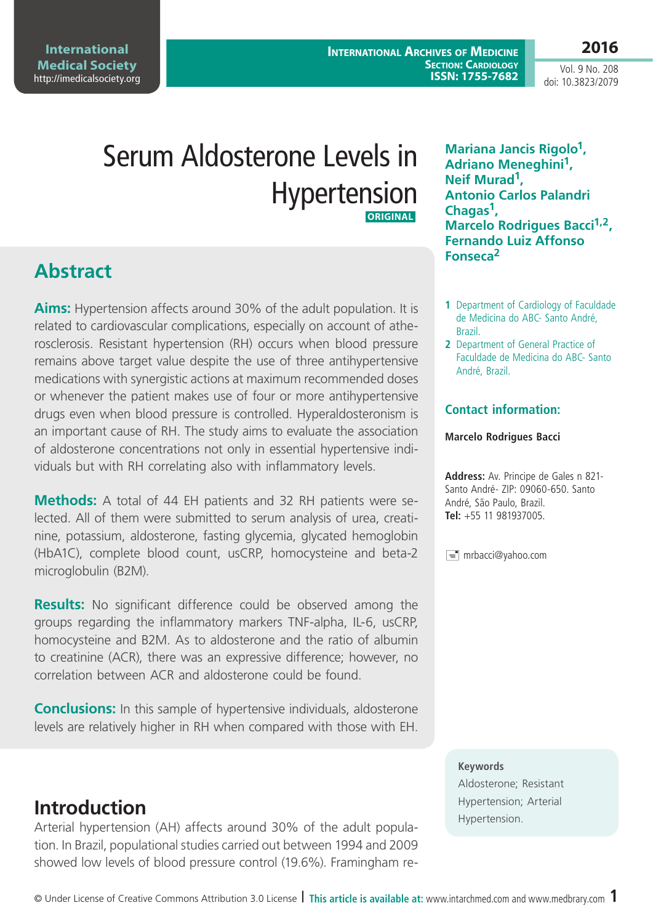**International Medical Society**  <http://imedicalsociety.org>

**International Archives of Medicine SECTION: CARDIOLOGY ISSN: 1755-7682**

Vol. 9 No. 208 doi: 10.3823/2079

**2016**

# Serum Aldosterone Levels in Hypertension **ORIGINAL**

## **Abstract**

**Aims:** Hypertension affects around 30% of the adult population. It is related to cardiovascular complications, especially on account of atherosclerosis. Resistant hypertension (RH) occurs when blood pressure remains above target value despite the use of three antihypertensive medications with synergistic actions at maximum recommended doses or whenever the patient makes use of four or more antihypertensive drugs even when blood pressure is controlled. Hyperaldosteronism is an important cause of RH. The study aims to evaluate the association of aldosterone concentrations not only in essential hypertensive individuals but with RH correlating also with inflammatory levels.

**Methods:** A total of 44 EH patients and 32 RH patients were selected. All of them were submitted to serum analysis of urea, creatinine, potassium, aldosterone, fasting glycemia, glycated hemoglobin (HbA1C), complete blood count, usCRP, homocysteine and beta-2 microglobulin (B2M).

**Results:** No significant difference could be observed among the groups regarding the inflammatory markers TNF-alpha, IL-6, usCRP, homocysteine and B2M. As to aldosterone and the ratio of albumin to creatinine (ACR), there was an expressive difference; however, no correlation between ACR and aldosterone could be found.

**Conclusions:** In this sample of hypertensive individuals, aldosterone levels are relatively higher in RH when compared with those with EH.

### **Introduction**

Arterial hypertension (AH) affects around 30% of the adult population. In Brazil, populational studies carried out between 1994 and 2009 showed low levels of blood pressure control (19.6%). Framingham re**Mariana Jancis Rigolo1, Adriano Meneghini1, Neif Murad1, Antonio Carlos Palandri Chagas1, Marcelo Rodrigues Bacci<sup>1,2</sup>, Fernando Luiz Affonso Fonseca2**

- **1** Department of Cardiology of Faculdade de Medicina do ABC- Santo André, Brazil.
- **2** Department of General Practice of Faculdade de Medicina do ABC- Santo André, Brazil.

#### **Contact information:**

#### **Marcelo Rodrigues Bacci**

**Address:** Av. Principe de Gales n 821- Santo André- ZIP: 09060-650. Santo André, São Paulo, Brazil. **Tel:** +55 11 981937005.

 $\equiv$  mrbacci@yahoo.com

#### **Keywords**

Aldosterone; Resistant Hypertension; Arterial Hypertension.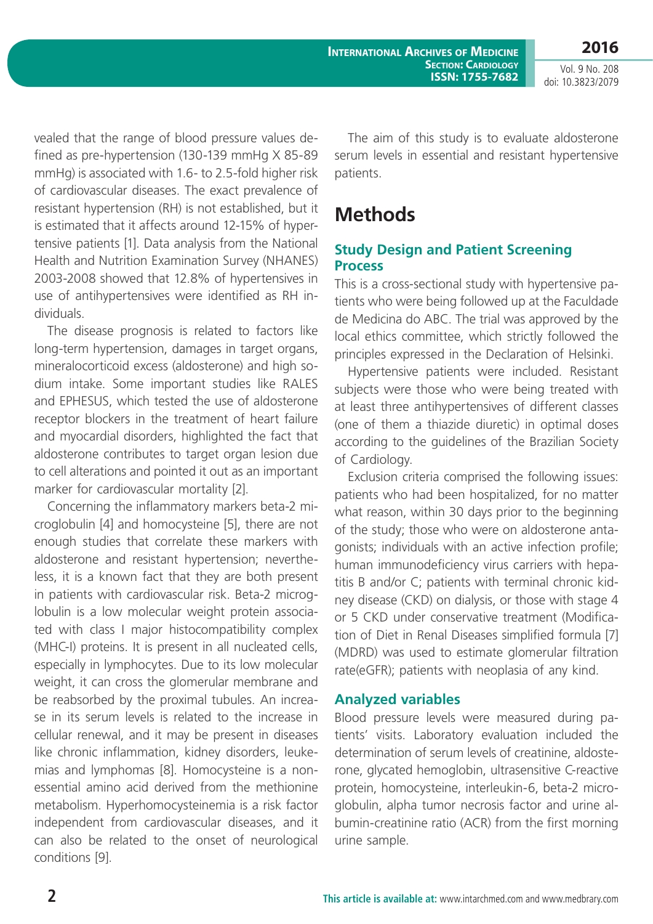**International Archives of Medicine SECTION: CARDIOLOGY ISSN: 1755-7682**

Vol. 9 No. 208 doi: 10.3823/2079

vealed that the range of blood pressure values defined as pre-hypertension (130-139 mmHg X 85-89 mmHg) is associated with 1.6- to 2.5-fold higher risk of cardiovascular diseases. The exact prevalence of resistant hypertension (RH) is not established, but it is estimated that it affects around 12-15% of hypertensive patients [1]. Data analysis from the National Health and Nutrition Examination Survey (NHANES) 2003-2008 showed that 12.8% of hypertensives in use of antihypertensives were identified as RH individuals.

The disease prognosis is related to factors like long-term hypertension, damages in target organs, mineralocorticoid excess (aldosterone) and high sodium intake. Some important studies like RALES and EPHESUS, which tested the use of aldosterone receptor blockers in the treatment of heart failure and myocardial disorders, highlighted the fact that aldosterone contributes to target organ lesion due to cell alterations and pointed it out as an important marker for cardiovascular mortality [2].

Concerning the inflammatory markers beta-2 microglobulin [4] and homocysteine [5], there are not enough studies that correlate these markers with aldosterone and resistant hypertension; nevertheless, it is a known fact that they are both present in patients with cardiovascular risk. Beta-2 microglobulin is a low molecular weight protein associated with class I major histocompatibility complex (MHC-I) proteins. It is present in all nucleated cells, especially in lymphocytes. Due to its low molecular weight, it can cross the glomerular membrane and be reabsorbed by the proximal tubules. An increase in its serum levels is related to the increase in cellular renewal, and it may be present in diseases like chronic inflammation, kidney disorders, leukemias and lymphomas [8]. Homocysteine is a nonessential amino acid derived from the methionine metabolism. Hyperhomocysteinemia is a risk factor independent from cardiovascular diseases, and it can also be related to the onset of neurological conditions [9].

The aim of this study is to evaluate aldosterone serum levels in essential and resistant hypertensive patients.

## **Methods**

### **Study Design and Patient Screening Process**

This is a cross-sectional study with hypertensive patients who were being followed up at the Faculdade de Medicina do ABC. The trial was approved by the local ethics committee, which strictly followed the principles expressed in the Declaration of Helsinki.

Hypertensive patients were included. Resistant subjects were those who were being treated with at least three antihypertensives of different classes (one of them a thiazide diuretic) in optimal doses according to the guidelines of the Brazilian Society of Cardiology.

Exclusion criteria comprised the following issues: patients who had been hospitalized, for no matter what reason, within 30 days prior to the beginning of the study; those who were on aldosterone antagonists; individuals with an active infection profile; human immunodeficiency virus carriers with hepatitis B and/or C; patients with terminal chronic kidney disease (CKD) on dialysis, or those with stage 4 or 5 CKD under conservative treatment (Modification of Diet in Renal Diseases simplified formula [7] (MDRD) was used to estimate glomerular filtration rate(eGFR); patients with neoplasia of any kind.

### **Analyzed variables**

Blood pressure levels were measured during patients' visits. Laboratory evaluation included the determination of serum levels of creatinine, aldosterone, glycated hemoglobin, ultrasensitive C-reactive protein, homocysteine, interleukin-6, beta-2 microglobulin, alpha tumor necrosis factor and urine albumin-creatinine ratio (ACR) from the first morning urine sample.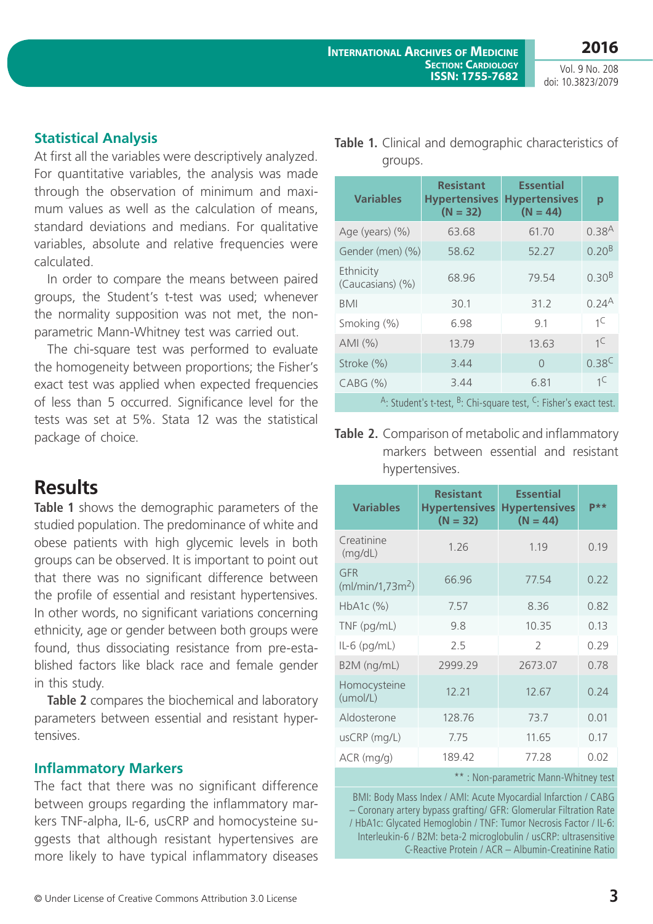groups.

Vol. 9 No. 208 doi: 10.3823/2079

### **Statistical Analysis**

At first all the variables were descriptively analyzed. For quantitative variables, the analysis was made through the observation of minimum and maximum values as well as the calculation of means, standard deviations and medians. For qualitative variables, absolute and relative frequencies were calculated.

In order to compare the means between paired groups, the Student's t-test was used; whenever the normality supposition was not met, the nonparametric Mann-Whitney test was carried out.

The chi-square test was performed to evaluate the homogeneity between proportions; the Fisher's exact test was applied when expected frequencies of less than 5 occurred. Significance level for the tests was set at 5%. Stata 12 was the statistical package of choice.

## **Results**

**Table 1** shows the demographic parameters of the studied population. The predominance of white and obese patients with high glycemic levels in both groups can be observed. It is important to point out that there was no significant difference between the profile of essential and resistant hypertensives. In other words, no significant variations concerning ethnicity, age or gender between both groups were found, thus dissociating resistance from pre-established factors like black race and female gender in this study.

**Table 2** compares the biochemical and laboratory parameters between essential and resistant hypertensives.

#### **Inflammatory Markers**

The fact that there was no significant difference between groups regarding the inflammatory markers TNF-alpha, IL-6, usCRP and homocysteine suggests that although resistant hypertensives are more likely to have typical inflammatory diseases

| <b>Variables</b>                                                                                     | <b>Resistant</b><br><b>Hypertensives</b><br>$(N = 32)$ | <b>Essential</b><br><b>Hypertensives</b><br>$(N = 44)$ | p                 |  |
|------------------------------------------------------------------------------------------------------|--------------------------------------------------------|--------------------------------------------------------|-------------------|--|
| Age (years) (%)                                                                                      | 63.68                                                  | 61.70                                                  | 0.38 <sup>A</sup> |  |
| Gender (men) (%)                                                                                     | 58.62                                                  | 52.27                                                  | $0.20^{B}$        |  |
| Ethnicity<br>(Caucasians) (%)                                                                        | 68.96                                                  | 79.54                                                  | 0.30 <sup>B</sup> |  |
| <b>BMI</b>                                                                                           | 30.1                                                   | 31.2                                                   | $0.24^{A}$        |  |
| Smoking (%)                                                                                          | 6.98                                                   | 9.1                                                    | $1^C$             |  |
| AMI(%)                                                                                               | 13.79                                                  | 13.63                                                  | $1^C$             |  |
| Stroke (%)                                                                                           | 3.44                                                   | $\cap$                                                 | $0.38^{C}$        |  |
| CABG (%)                                                                                             | 3.44                                                   | 6.81                                                   | $1^C$             |  |
| <sup>A</sup> : Student's t-test, <sup>B</sup> : Chi-square test, <sup>C</sup> : Fisher's exact test. |                                                        |                                                        |                   |  |

**Table 1.** Clinical and demographic characteristics of

**Table 2.** Comparison of metabolic and inflammatory markers between essential and resistant hypertensives.

| <b>Variables</b>                     | <b>Resistant</b><br><b>Hypertensives</b><br>$(N = 32)$ | <b>Essential</b><br><b>Hypertensives</b><br>$(N = 44)$ | $p**$ |
|--------------------------------------|--------------------------------------------------------|--------------------------------------------------------|-------|
| Creatinine<br>(mg/dL)                | 1.26                                                   | 1.19                                                   | 0.19  |
| GFR<br>(mI/min/1, 73m <sup>2</sup> ) | 66.96                                                  | 77.54                                                  | 0.22  |
| HbA1c (%)                            | 7.57                                                   | 8.36                                                   | 0.82  |
| TNF (pg/mL)                          | 9.8                                                    | 10.35                                                  | 0.13  |
| $IL-6$ (pg/mL)                       | 2.5                                                    | $\mathcal{P}$                                          | 0.29  |
| B2M (ng/mL)                          | 2999.29                                                | 2673.07                                                | 0.78  |
| Homocysteine<br>(umol/L)             | 12.21                                                  | 12.67                                                  | 0.24  |
| Aldosterone                          | 128.76                                                 | 73.7                                                   | 0.01  |
| usCRP (mg/L)                         | 7.75                                                   | 11.65                                                  | 0.17  |
| $ACR$ (mg/g)                         | 189.42                                                 | 77.28                                                  | 0.02  |
| **: Non-parametric Mann-Whitney test |                                                        |                                                        |       |

BMI: Body Mass Index / AMI: Acute Myocardial Infarction / CABG – Coronary artery bypass grafting/ GFR: Glomerular Filtration Rate / HbA1c: Glycated Hemoglobin / TNF: Tumor Necrosis Factor / IL-6: Interleukin-6 / B2M: beta-2 microglobulin / usCRP: ultrasensitive C-Reactive Protein / ACR – Albumin-Creatinine Ratio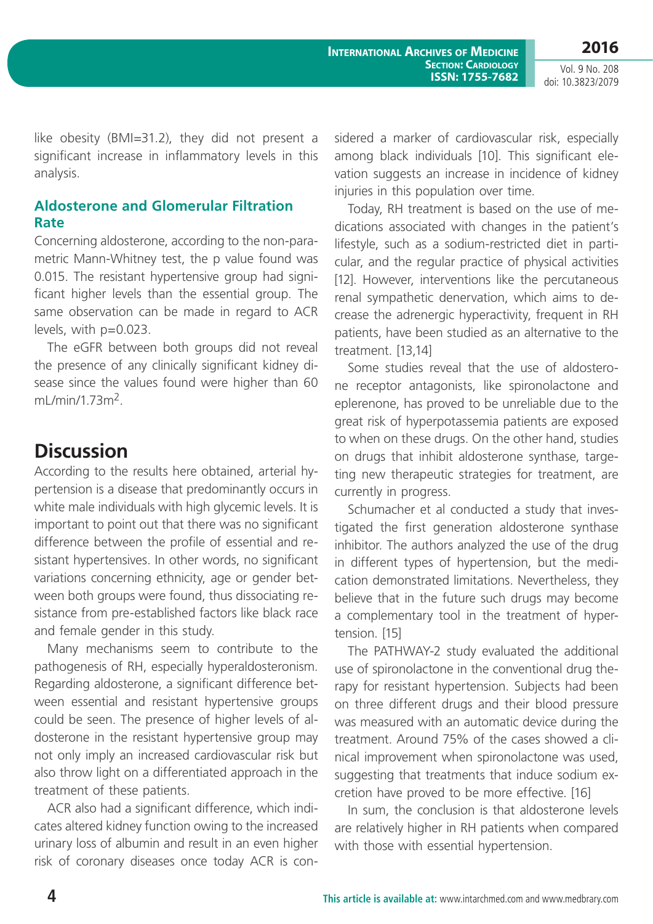Vol. 9 No. 208 doi: 10.3823/2079

like obesity (BMI=31.2), they did not present a significant increase in inflammatory levels in this analysis.

### **Aldosterone and Glomerular Filtration Rate**

Concerning aldosterone, according to the non-parametric Mann-Whitney test, the p value found was 0.015. The resistant hypertensive group had significant higher levels than the essential group. The same observation can be made in regard to ACR levels, with p=0.023.

The eGFR between both groups did not reveal the presence of any clinically significant kidney disease since the values found were higher than 60 ml /min/1.73m<sup>2</sup>

## **Discussion**

According to the results here obtained, arterial hypertension is a disease that predominantly occurs in white male individuals with high glycemic levels. It is important to point out that there was no significant difference between the profile of essential and resistant hypertensives. In other words, no significant variations concerning ethnicity, age or gender between both groups were found, thus dissociating resistance from pre-established factors like black race and female gender in this study.

Many mechanisms seem to contribute to the pathogenesis of RH, especially hyperaldosteronism. Regarding aldosterone, a significant difference between essential and resistant hypertensive groups could be seen. The presence of higher levels of aldosterone in the resistant hypertensive group may not only imply an increased cardiovascular risk but also throw light on a differentiated approach in the treatment of these patients.

ACR also had a significant difference, which indicates altered kidney function owing to the increased urinary loss of albumin and result in an even higher risk of coronary diseases once today ACR is considered a marker of cardiovascular risk, especially among black individuals [10]. This significant elevation suggests an increase in incidence of kidney injuries in this population over time.

Today, RH treatment is based on the use of medications associated with changes in the patient's lifestyle, such as a sodium-restricted diet in particular, and the regular practice of physical activities [12]. However, interventions like the percutaneous renal sympathetic denervation, which aims to decrease the adrenergic hyperactivity, frequent in RH patients, have been studied as an alternative to the treatment. [13,14]

Some studies reveal that the use of aldosterone receptor antagonists, like spironolactone and eplerenone, has proved to be unreliable due to the great risk of hyperpotassemia patients are exposed to when on these drugs. On the other hand, studies on drugs that inhibit aldosterone synthase, targeting new therapeutic strategies for treatment, are currently in progress.

Schumacher et al conducted a study that investigated the first generation aldosterone synthase inhibitor. The authors analyzed the use of the drug in different types of hypertension, but the medication demonstrated limitations. Nevertheless, they believe that in the future such drugs may become a complementary tool in the treatment of hypertension. [15]

The PATHWAY-2 study evaluated the additional use of spironolactone in the conventional drug therapy for resistant hypertension. Subjects had been on three different drugs and their blood pressure was measured with an automatic device during the treatment. Around 75% of the cases showed a clinical improvement when spironolactone was used, suggesting that treatments that induce sodium excretion have proved to be more effective. [16]

In sum, the conclusion is that aldosterone levels are relatively higher in RH patients when compared with those with essential hypertension.